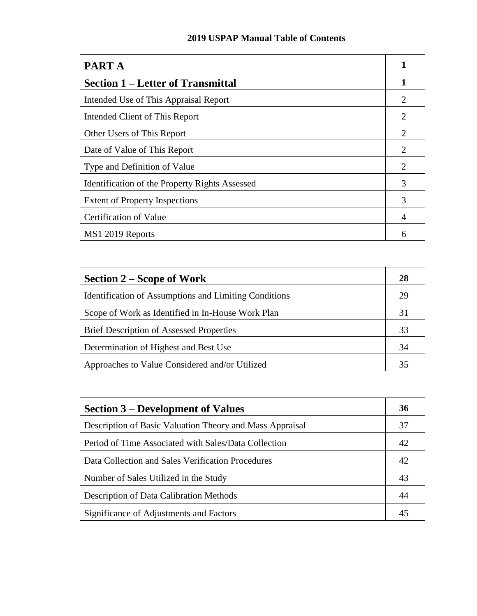## **2019 USPAP Manual Table of Contents**

| <b>PART A</b>                                  |                |
|------------------------------------------------|----------------|
| <b>Section 1 – Letter of Transmittal</b>       |                |
| Intended Use of This Appraisal Report          | 2              |
| Intended Client of This Report                 | 2              |
| Other Users of This Report                     | 2              |
| Date of Value of This Report                   | 2              |
| Type and Definition of Value                   | $\overline{2}$ |
| Identification of the Property Rights Assessed | 3              |
| <b>Extent of Property Inspections</b>          | 3              |
| <b>Certification of Value</b>                  | 4              |
| MS1 2019 Reports                               | 6              |

| <b>Section 2 – Scope of Work</b>                             | 28 |
|--------------------------------------------------------------|----|
| <b>Identification of Assumptions and Limiting Conditions</b> | 29 |
| Scope of Work as Identified in In-House Work Plan            | 31 |
| <b>Brief Description of Assessed Properties</b>              | 33 |
| Determination of Highest and Best Use                        | 34 |
| Approaches to Value Considered and/or Utilized               | 35 |

| <b>Section 3 – Development of Values</b>                 | 36 |
|----------------------------------------------------------|----|
| Description of Basic Valuation Theory and Mass Appraisal | 37 |
| Period of Time Associated with Sales/Data Collection     | 42 |
| Data Collection and Sales Verification Procedures        | 42 |
| Number of Sales Utilized in the Study                    | 43 |
| <b>Description of Data Calibration Methods</b>           | 44 |
| Significance of Adjustments and Factors                  | 45 |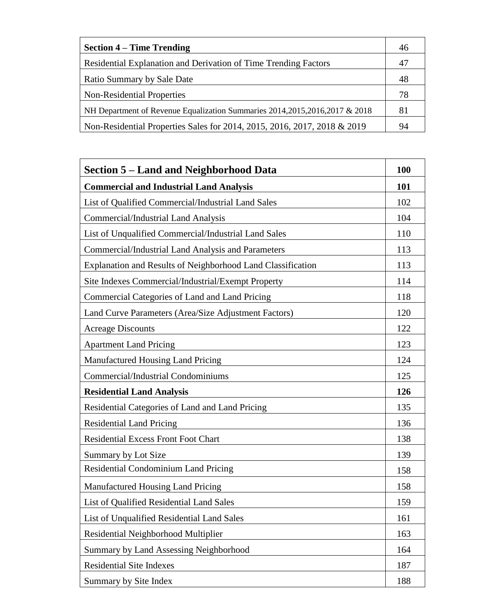| <b>Section 4 – Time Trending</b>                                              | 46 |
|-------------------------------------------------------------------------------|----|
| Residential Explanation and Derivation of Time Trending Factors               | 47 |
| Ratio Summary by Sale Date                                                    | 48 |
| Non-Residential Properties                                                    | 78 |
| NH Department of Revenue Equalization Summaries 2014, 2015, 2016, 2017 & 2018 | 81 |
| Non-Residential Properties Sales for 2014, 2015, 2016, 2017, 2018 & 2019      | 94 |

| <b>Section 5 – Land and Neighborhood Data</b>               | <b>100</b> |
|-------------------------------------------------------------|------------|
| <b>Commercial and Industrial Land Analysis</b>              | 101        |
| List of Qualified Commercial/Industrial Land Sales          | 102        |
| <b>Commercial/Industrial Land Analysis</b>                  | 104        |
| List of Unqualified Commercial/Industrial Land Sales        | 110        |
| Commercial/Industrial Land Analysis and Parameters          | 113        |
| Explanation and Results of Neighborhood Land Classification | 113        |
| Site Indexes Commercial/Industrial/Exempt Property          | 114        |
| Commercial Categories of Land and Land Pricing              | 118        |
| Land Curve Parameters (Area/Size Adjustment Factors)        | 120        |
| <b>Acreage Discounts</b>                                    | 122        |
| <b>Apartment Land Pricing</b>                               | 123        |
| Manufactured Housing Land Pricing                           | 124        |
| Commercial/Industrial Condominiums                          | 125        |
| <b>Residential Land Analysis</b>                            | 126        |
| Residential Categories of Land and Land Pricing             | 135        |
| <b>Residential Land Pricing</b>                             | 136        |
| <b>Residential Excess Front Foot Chart</b>                  | 138        |
| Summary by Lot Size                                         | 139        |
| Residential Condominium Land Pricing                        | 158        |
| Manufactured Housing Land Pricing                           | 158        |
| List of Qualified Residential Land Sales                    | 159        |
| List of Unqualified Residential Land Sales                  | 161        |
| Residential Neighborhood Multiplier                         | 163        |
| <b>Summary by Land Assessing Neighborhood</b>               | 164        |
| <b>Residential Site Indexes</b>                             | 187        |
| Summary by Site Index                                       | 188        |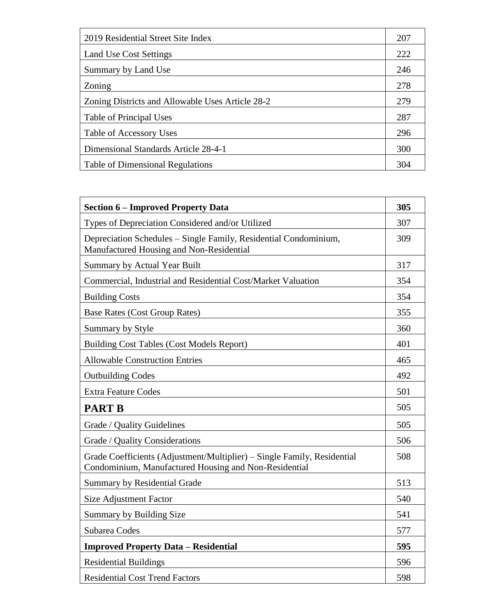| 2019 Residential Street Site Index               | 207 |
|--------------------------------------------------|-----|
| Land Use Cost Settings                           | 222 |
| Summary by Land Use                              | 246 |
| Zoning                                           | 278 |
| Zoning Districts and Allowable Uses Article 28-2 | 279 |
| Table of Principal Uses                          | 287 |
| Table of Accessory Uses                          | 296 |
| Dimensional Standards Article 28-4-1             | 300 |
| <b>Table of Dimensional Regulations</b>          | 304 |

| <b>Section 6 – Improved Property Data</b>                                                                                        | 305 |
|----------------------------------------------------------------------------------------------------------------------------------|-----|
| Types of Depreciation Considered and/or Utilized                                                                                 | 307 |
| Depreciation Schedules - Single Family, Residential Condominium,<br>Manufactured Housing and Non-Residential                     | 309 |
| <b>Summary by Actual Year Built</b>                                                                                              | 317 |
| Commercial, Industrial and Residential Cost/Market Valuation                                                                     | 354 |
| <b>Building Costs</b>                                                                                                            | 354 |
| <b>Base Rates (Cost Group Rates)</b>                                                                                             | 355 |
| Summary by Style                                                                                                                 | 360 |
| <b>Building Cost Tables (Cost Models Report)</b>                                                                                 | 401 |
| <b>Allowable Construction Entries</b>                                                                                            | 465 |
| <b>Outbuilding Codes</b>                                                                                                         | 492 |
| <b>Extra Feature Codes</b>                                                                                                       | 501 |
| <b>PART B</b>                                                                                                                    | 505 |
| Grade / Quality Guidelines                                                                                                       | 505 |
| Grade / Quality Considerations                                                                                                   | 506 |
| Grade Coefficients (Adjustment/Multiplier) – Single Family, Residential<br>Condominium, Manufactured Housing and Non-Residential | 508 |
| Summary by Residential Grade                                                                                                     | 513 |
| <b>Size Adjustment Factor</b>                                                                                                    | 540 |
| Summary by Building Size                                                                                                         | 541 |
| Subarea Codes                                                                                                                    | 577 |
| <b>Improved Property Data - Residential</b>                                                                                      | 595 |
| <b>Residential Buildings</b>                                                                                                     | 596 |
| <b>Residential Cost Trend Factors</b>                                                                                            | 598 |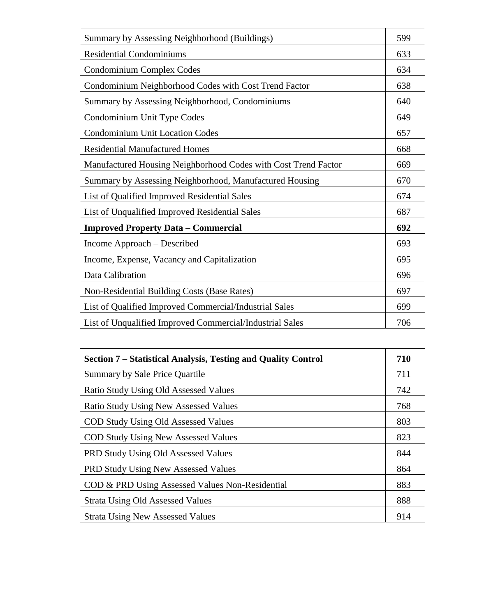| Summary by Assessing Neighborhood (Buildings)                  | 599 |
|----------------------------------------------------------------|-----|
| <b>Residential Condominiums</b>                                | 633 |
| Condominium Complex Codes                                      | 634 |
| Condominium Neighborhood Codes with Cost Trend Factor          | 638 |
| Summary by Assessing Neighborhood, Condominiums                | 640 |
| Condominium Unit Type Codes                                    | 649 |
| <b>Condominium Unit Location Codes</b>                         | 657 |
| <b>Residential Manufactured Homes</b>                          | 668 |
| Manufactured Housing Neighborhood Codes with Cost Trend Factor | 669 |
| Summary by Assessing Neighborhood, Manufactured Housing        | 670 |
| List of Qualified Improved Residential Sales                   | 674 |
| List of Unqualified Improved Residential Sales                 | 687 |
| <b>Improved Property Data - Commercial</b>                     | 692 |
| Income Approach - Described                                    | 693 |
| Income, Expense, Vacancy and Capitalization                    | 695 |
| Data Calibration                                               | 696 |
| Non-Residential Building Costs (Base Rates)                    | 697 |
| List of Qualified Improved Commercial/Industrial Sales         | 699 |
| List of Unqualified Improved Commercial/Industrial Sales       | 706 |

| Section 7 – Statistical Analysis, Testing and Quality Control | 710 |
|---------------------------------------------------------------|-----|
| Summary by Sale Price Quartile                                | 711 |
| Ratio Study Using Old Assessed Values                         | 742 |
| <b>Ratio Study Using New Assessed Values</b>                  | 768 |
| <b>COD Study Using Old Assessed Values</b>                    | 803 |
| <b>COD Study Using New Assessed Values</b>                    | 823 |
| <b>PRD Study Using Old Assessed Values</b>                    | 844 |
| PRD Study Using New Assessed Values                           | 864 |
| COD & PRD Using Assessed Values Non-Residential               | 883 |
| <b>Strata Using Old Assessed Values</b>                       | 888 |
| <b>Strata Using New Assessed Values</b>                       | 914 |